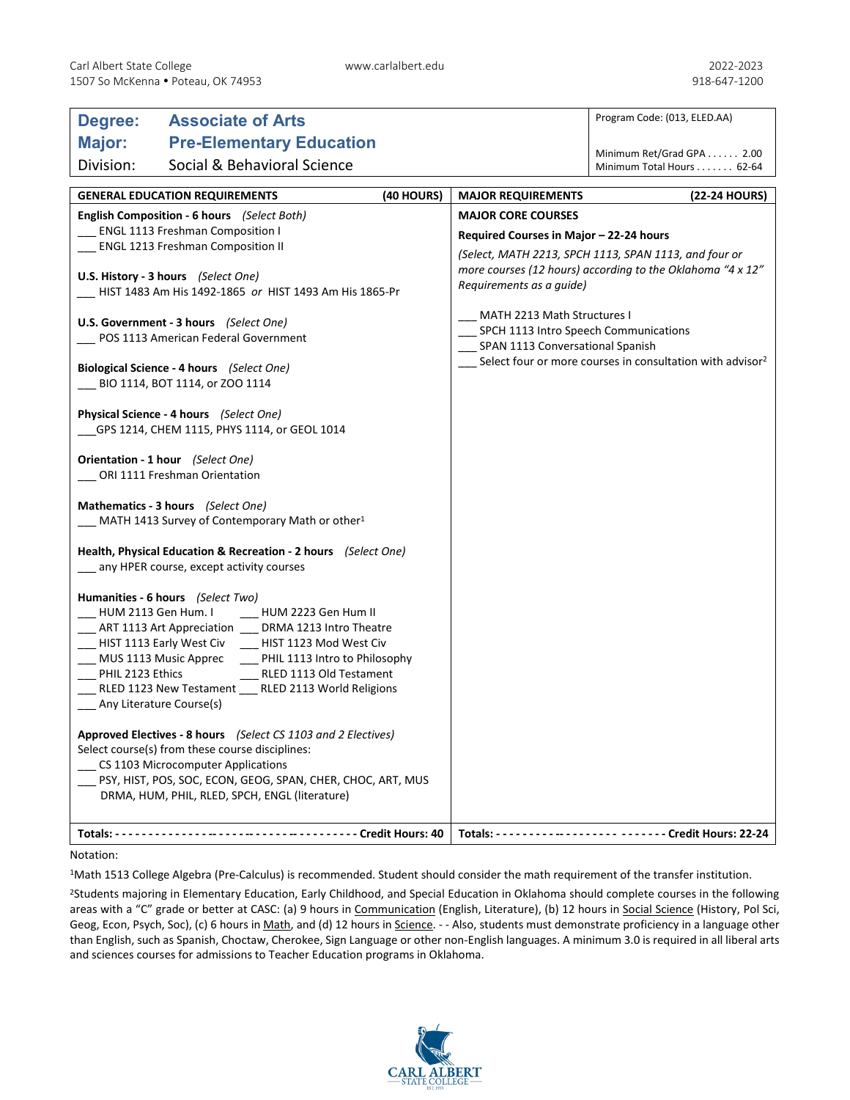| Major:<br><b>Pre-Elementary Education</b><br>Minimum Ret/Grad GPA 2.00<br>Division:<br>Social & Behavioral Science<br>Minimum Total Hours 62-64<br>(40 HOURS)<br><b>GENERAL EDUCATION REQUIREMENTS</b><br><b>MAJOR REQUIREMENTS</b><br>English Composition - 6 hours (Select Both)<br><b>MAJOR CORE COURSES</b><br><b>ENGL 1113 Freshman Composition I</b><br>Required Courses in Major - 22-24 hours<br><b>ENGL 1213 Freshman Composition II</b><br>U.S. History - 3 hours (Select One)<br>Requirements as a guide)<br>HIST 1483 Am His 1492-1865 or HIST 1493 Am His 1865-Pr<br>MATH 2213 Math Structures I<br>U.S. Government - 3 hours (Select One)<br>SPCH 1113 Intro Speech Communications<br>___ POS 1113 American Federal Government<br>SPAN 1113 Conversational Spanish<br>Select four or more courses in consultation with advisor <sup>2</sup><br>Biological Science - 4 hours (Select One)<br>BIO 1114, BOT 1114, or ZOO 1114<br>Physical Science - 4 hours (Select One)<br>___GPS 1214, CHEM 1115, PHYS 1114, or GEOL 1014<br>Orientation - 1 hour (Select One)<br>ORI 1111 Freshman Orientation | Program Code: (013, ELED.AA)                                                                                        |  |
|---------------------------------------------------------------------------------------------------------------------------------------------------------------------------------------------------------------------------------------------------------------------------------------------------------------------------------------------------------------------------------------------------------------------------------------------------------------------------------------------------------------------------------------------------------------------------------------------------------------------------------------------------------------------------------------------------------------------------------------------------------------------------------------------------------------------------------------------------------------------------------------------------------------------------------------------------------------------------------------------------------------------------------------------------------------------------------------------------------------|---------------------------------------------------------------------------------------------------------------------|--|
|                                                                                                                                                                                                                                                                                                                                                                                                                                                                                                                                                                                                                                                                                                                                                                                                                                                                                                                                                                                                                                                                                                               |                                                                                                                     |  |
|                                                                                                                                                                                                                                                                                                                                                                                                                                                                                                                                                                                                                                                                                                                                                                                                                                                                                                                                                                                                                                                                                                               |                                                                                                                     |  |
|                                                                                                                                                                                                                                                                                                                                                                                                                                                                                                                                                                                                                                                                                                                                                                                                                                                                                                                                                                                                                                                                                                               |                                                                                                                     |  |
|                                                                                                                                                                                                                                                                                                                                                                                                                                                                                                                                                                                                                                                                                                                                                                                                                                                                                                                                                                                                                                                                                                               | (22-24 HOURS)                                                                                                       |  |
|                                                                                                                                                                                                                                                                                                                                                                                                                                                                                                                                                                                                                                                                                                                                                                                                                                                                                                                                                                                                                                                                                                               |                                                                                                                     |  |
|                                                                                                                                                                                                                                                                                                                                                                                                                                                                                                                                                                                                                                                                                                                                                                                                                                                                                                                                                                                                                                                                                                               |                                                                                                                     |  |
|                                                                                                                                                                                                                                                                                                                                                                                                                                                                                                                                                                                                                                                                                                                                                                                                                                                                                                                                                                                                                                                                                                               | (Select, MATH 2213, SPCH 1113, SPAN 1113, and four or<br>more courses (12 hours) according to the Oklahoma "4 x 12" |  |
|                                                                                                                                                                                                                                                                                                                                                                                                                                                                                                                                                                                                                                                                                                                                                                                                                                                                                                                                                                                                                                                                                                               |                                                                                                                     |  |
|                                                                                                                                                                                                                                                                                                                                                                                                                                                                                                                                                                                                                                                                                                                                                                                                                                                                                                                                                                                                                                                                                                               |                                                                                                                     |  |
|                                                                                                                                                                                                                                                                                                                                                                                                                                                                                                                                                                                                                                                                                                                                                                                                                                                                                                                                                                                                                                                                                                               |                                                                                                                     |  |
|                                                                                                                                                                                                                                                                                                                                                                                                                                                                                                                                                                                                                                                                                                                                                                                                                                                                                                                                                                                                                                                                                                               |                                                                                                                     |  |
| Mathematics - 3 hours (Select One)<br>MATH 1413 Survey of Contemporary Math or other <sup>1</sup>                                                                                                                                                                                                                                                                                                                                                                                                                                                                                                                                                                                                                                                                                                                                                                                                                                                                                                                                                                                                             |                                                                                                                     |  |
| Health, Physical Education & Recreation - 2 hours (Select One)<br>__ any HPER course, except activity courses                                                                                                                                                                                                                                                                                                                                                                                                                                                                                                                                                                                                                                                                                                                                                                                                                                                                                                                                                                                                 |                                                                                                                     |  |
| Humanities - 6 hours (Select Two)<br>HUM 2223 Gen Hum II<br>HUM 2113 Gen Hum. I<br>ART 1113 Art Appreciation ___ DRMA 1213 Intro Theatre<br>___ HIST 1113 Early West Civ ____ HIST 1123 Mod West Civ<br>___ MUS 1113 Music Apprec<br>__ PHIL 1113 Intro to Philosophy<br>PHIL 2123 Ethics<br>RLED 1113 Old Testament<br>RLED 1123 New Testament __ RLED 2113 World Religions<br>Any Literature Course(s)<br>Approved Electives - 8 hours (Select CS 1103 and 2 Electives)                                                                                                                                                                                                                                                                                                                                                                                                                                                                                                                                                                                                                                     |                                                                                                                     |  |
| Select course(s) from these course disciplines:<br>CS 1103 Microcomputer Applications<br>PSY, HIST, POS, SOC, ECON, GEOG, SPAN, CHER, CHOC, ART, MUS<br>DRMA, HUM, PHIL, RLED, SPCH, ENGL (literature)                                                                                                                                                                                                                                                                                                                                                                                                                                                                                                                                                                                                                                                                                                                                                                                                                                                                                                        |                                                                                                                     |  |
|                                                                                                                                                                                                                                                                                                                                                                                                                                                                                                                                                                                                                                                                                                                                                                                                                                                                                                                                                                                                                                                                                                               |                                                                                                                     |  |

## Notation:

1Math 1513 College Algebra (Pre-Calculus) is recommended. Student should consider the math requirement of the transfer institution.

<sup>2</sup>Students majoring in Elementary Education, Early Childhood, and Special Education in Oklahoma should complete courses in the following areas with a "C" grade or better at CASC: (a) 9 hours in Communication (English, Literature), (b) 12 hours in Social Science (History, Pol Sci, Geog, Econ, Psych, Soc), (c) 6 hours in Math, and (d) 12 hours in Science. - - Also, students must demonstrate proficiency in a language other than English, such as Spanish, Choctaw, Cherokee, Sign Language or other non-English languages. A minimum 3.0 is required in all liberal arts and sciences courses for admissions to Teacher Education programs in Oklahoma.